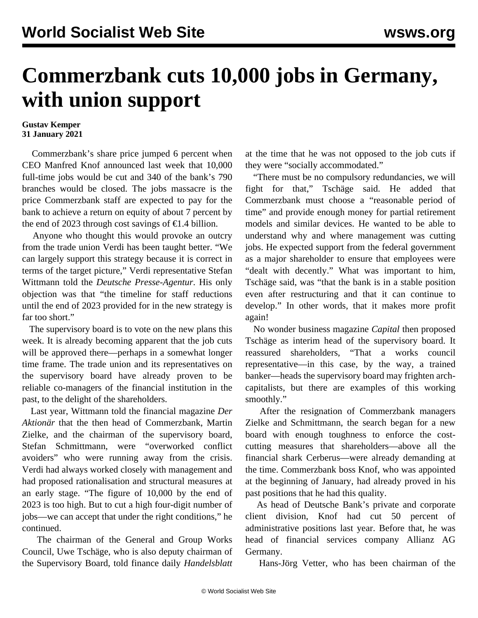## **Commerzbank cuts 10,000 jobs in Germany, with union support**

## **Gustav Kemper 31 January 2021**

 Commerzbank's share price jumped 6 percent when CEO Manfred Knof announced last week that 10,000 full-time jobs would be cut and 340 of the bank's 790 branches would be closed. The jobs massacre is the price Commerzbank staff are expected to pay for the bank to achieve a return on equity of about 7 percent by the end of 2023 through cost savings of  $\epsilon$ 1.4 billion.

 Anyone who thought this would provoke an outcry from the trade union Verdi has been taught better. "We can largely support this strategy because it is correct in terms of the target picture," Verdi representative Stefan Wittmann told the *Deutsche Presse-Agentur*. His only objection was that "the timeline for staff reductions until the end of 2023 provided for in the new strategy is far too short."

 The supervisory board is to vote on the new plans this week. It is already becoming apparent that the job cuts will be approved there—perhaps in a somewhat longer time frame. The trade union and its representatives on the supervisory board have already proven to be reliable co-managers of the financial institution in the past, to the delight of the shareholders.

 Last year, Wittmann told the financial magazine *Der Aktionär* that the then head of Commerzbank, Martin Zielke, and the chairman of the supervisory board, Stefan Schmittmann, were "overworked conflict avoiders" who were running away from the crisis. Verdi had always worked closely with management and had proposed rationalisation and structural measures at an early stage. "The figure of 10,000 by the end of 2023 is too high. But to cut a high four-digit number of jobs—we can accept that under the right conditions," he continued.

 The chairman of the General and Group Works Council, Uwe Tschäge, who is also deputy chairman of the Supervisory Board, told finance daily *Handelsblatt*

at the time that he was not opposed to the job cuts if they were "socially accommodated."

 "There must be no compulsory redundancies, we will fight for that," Tschäge said. He added that Commerzbank must choose a "reasonable period of time" and provide enough money for partial retirement models and similar devices. He wanted to be able to understand why and where management was cutting jobs. He expected support from the federal government as a major shareholder to ensure that employees were "dealt with decently." What was important to him, Tschäge said, was "that the bank is in a stable position even after restructuring and that it can continue to develop." In other words, that it makes more profit again!

 No wonder business magazine *Capital* then proposed Tschäge as interim head of the supervisory board. It reassured shareholders, "That a works council representative—in this case, by the way, a trained banker—heads the supervisory board may frighten archcapitalists, but there are examples of this working smoothly."

 After the resignation of Commerzbank managers Zielke and Schmittmann, the search began for a new board with enough toughness to enforce the costcutting measures that shareholders—above all the financial shark Cerberus—were already demanding at the time. Commerzbank boss Knof, who was appointed at the beginning of January, had already proved in his past positions that he had this quality.

 As head of Deutsche Bank's private and corporate client division, Knof had cut 50 percent of administrative positions last year. Before that, he was head of financial services company Allianz AG Germany.

Hans-Jörg Vetter, who has been chairman of the